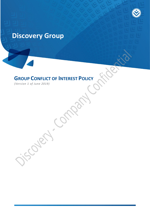# **Discovery Group**

# **GROUP CONFLICT OF INTEREST POLICY**

Forch Co

*(Version 1 of June 2019)*

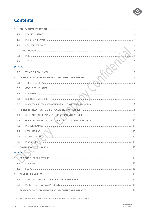### **Contents**

| 1.1<br>1.2<br>1.3<br>2.<br>2.1<br>2.2<br><b>PARTA</b><br>2.3<br>3.<br>3.1<br>3.2<br>3.3<br>3.4<br>3.5<br>4.<br>4.1<br>4.2<br>4.3<br>4.4<br>4.5<br>4.6<br>5.<br><b>PART B</b><br>1.<br>1.1<br>1.2 | 1. |  |  |  |  |  |
|--------------------------------------------------------------------------------------------------------------------------------------------------------------------------------------------------|----|--|--|--|--|--|
|                                                                                                                                                                                                  |    |  |  |  |  |  |
|                                                                                                                                                                                                  |    |  |  |  |  |  |
|                                                                                                                                                                                                  |    |  |  |  |  |  |
|                                                                                                                                                                                                  |    |  |  |  |  |  |
|                                                                                                                                                                                                  |    |  |  |  |  |  |
|                                                                                                                                                                                                  |    |  |  |  |  |  |
|                                                                                                                                                                                                  |    |  |  |  |  |  |
|                                                                                                                                                                                                  |    |  |  |  |  |  |
|                                                                                                                                                                                                  |    |  |  |  |  |  |
|                                                                                                                                                                                                  |    |  |  |  |  |  |
|                                                                                                                                                                                                  |    |  |  |  |  |  |
|                                                                                                                                                                                                  |    |  |  |  |  |  |
|                                                                                                                                                                                                  |    |  |  |  |  |  |
|                                                                                                                                                                                                  |    |  |  |  |  |  |
|                                                                                                                                                                                                  |    |  |  |  |  |  |
|                                                                                                                                                                                                  |    |  |  |  |  |  |
|                                                                                                                                                                                                  |    |  |  |  |  |  |
|                                                                                                                                                                                                  |    |  |  |  |  |  |
|                                                                                                                                                                                                  |    |  |  |  |  |  |
|                                                                                                                                                                                                  |    |  |  |  |  |  |
|                                                                                                                                                                                                  |    |  |  |  |  |  |
|                                                                                                                                                                                                  |    |  |  |  |  |  |
|                                                                                                                                                                                                  |    |  |  |  |  |  |
|                                                                                                                                                                                                  |    |  |  |  |  |  |
|                                                                                                                                                                                                  |    |  |  |  |  |  |
|                                                                                                                                                                                                  |    |  |  |  |  |  |
|                                                                                                                                                                                                  | 2. |  |  |  |  |  |
| 2.1                                                                                                                                                                                              |    |  |  |  |  |  |
| 2.2                                                                                                                                                                                              |    |  |  |  |  |  |
| 3.                                                                                                                                                                                               |    |  |  |  |  |  |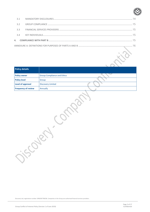| 3.2 |  |  |  |
|-----|--|--|--|
| 3.3 |  |  |  |
|     |  |  |  |
|     |  |  |  |
|     |  |  |  |

| <b>Policy details</b>      |                                    |  |
|----------------------------|------------------------------------|--|
| <b>Policy owner</b>        | <b>Group Compliance and Ethics</b> |  |
| <b>Policy level</b>        | Group                              |  |
| Level of approval          | <b>Discovery Limited</b>           |  |
| <b>Frequency of review</b> | Annually                           |  |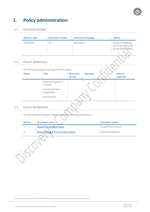

## <span id="page-3-0"></span>**1. Policy administration**

#### <span id="page-3-1"></span>1.1 REVISION HISTORY

| <b>Revision date</b> | Document version | Summary of changes | Author                                                                |
|----------------------|------------------|--------------------|-----------------------------------------------------------------------|
| June 2019            | V1               | New policy         | Group Compliance,<br>with input from the<br>Group Ethics Office.<br>۰ |

#### <span id="page-3-2"></span>1.2 POLICY APPROVALS

The following people have approved this policy:

| <b>Name</b> | Title                          | <b>Document</b><br>version | Signature | Date of<br>Approval |
|-------------|--------------------------------|----------------------------|-----------|---------------------|
|             | Board of Discovery<br>Limited  |                            |           |                     |
|             | Social and Ethics<br>Committee |                            |           |                     |
|             | Group EXCO                     |                            |           |                     |

#### <span id="page-3-3"></span>1.3 POLICY REFERENCES

You should read this policy together with the following documents:

| <b>Ref No</b> | Document name                                     | Document owner           |
|---------------|---------------------------------------------------|--------------------------|
|               | <b>Group Procurement Policy</b>                   | <b>Group Procurement</b> |
|               | <b>Share Trading &amp; Price Sensitive Policy</b> | <b>Group Compliance</b>  |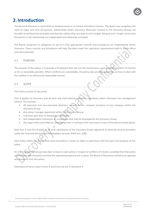

### <span id="page-4-0"></span>**2.Introduction**

The Board of Directors is committed to doing business in an honest and ethical manner. The Board also recognises the need to make sure that all business relationships within Discovery (Discovery Limited or the Discovery Group) are founded on professional principles and that the relationships are kept at arm's length. Being at arm's length means that the parties in the relationship are independent and otherwise unrelated.

The Board recognises its obligation to see to it that appropriate controls and procedures are implemented within Discovery. These controls and procedures will help Discovery meet the regulatory requirements both in South Africa and internationally.

#### <span id="page-4-1"></span>2.1 PURPOSE

The purpose of this policy is to provide a framework that sets out the mechanisms used to prevent conflict of interest as far as reasonably possible. Where conflicts are unavoidable, the policy also provides guidelines on how to deal with the conflicts in an ethical and responsible manner.

#### <span id="page-4-2"></span>2.2 SCOPE

This Policy consists of two parts.

Part A applies to Discovery and all local and international subsidiary operations where Discovery has management control. This includes:

- All executive and non-executive directors, as well as the company secretary of any company within the Discovery Group
- Any senior manager appointed within the Discovery Group
- Full-time, part-time or temporary employees
- Any independent contractors or consultants that may be employed by the Discovery Group
- Any legal entity controlled by, benefitting from or acting on the instruction of any of the persons listed above.

Both Part A and Part B apply to all local subsidiaries of the Discovery Group registered as financial services providers under the Financial Services and Intermediary Services (FAIS) Act, 2002.

Each entity within the Group must have procedures in place to align its operations with the spirit and purpose of this policy.

An entity within the Group may elect to have its own policy in respect of conflicts of interest, provided that that policy is consistent with this policy and that the required procedures are in place. The Board of Discovery Limited must approve any deviation from this policy.

Definitions of terms used in Parts A and B are set out in Annexure A.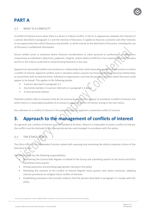

### **PART A**

#### <span id="page-5-0"></span>2.3 WHAT IS A CONFLICT?

A conflict of interest occurs when there is a direct or indirect conflict, in fact or in appearance, between the interests of a person described in paragraph 2.2 and the interests of Discovery. It applies to financial, economic and other interests in any opportunity from which Discovery may benefit, or which may be to the detriment of Discovery, including the use of Discovery's confidential information.

Actual conflict arises in situations where financial considerations or other personal or professional considerations compromise an individual's objectivity, judgment, integrity, and/or ability to fulfil his or her responsibilities to Discovery and his or her actions could lead to compromising Discovery in any way.

Apparent (or perceived) conflicts are situations or relationships that could reasonably appear to other parties to involve a conflict of interest. Apparent conflicts exist in situations where a person has financial interests, personal relationships or associations with an external entity, individual or organisation, such that the person's activities within Discovery could appear to be biased. This applies to the following people:

- A person described in paragraph 2.2
- Any family member of a person referred to in paragraph 2.2 above
- A close personal relation.

Potential conflicts refer to situations that do not necessarily constitute or appear to constitute a conflict of interest, but where there is a reasonable possibility of an actual or apparent conflict of interest arising in the near future.

Any reference to a conflict of interest in this policy includes an apparent or potential conflict of interest.

### <span id="page-5-1"></span>**3. Approach to the management of conflicts of interest**

As a general rule, conflicts of interest must be avoided at all times. Where it is impossible to avoid a conflict of interest, the conflict must be disclosed to the appropriate persons and managed in accordance with this policy.

### <span id="page-5-2"></span>3.1 THE ETHICS OFFICE

The Ethics Office is an independent function tasked with assessing and promoting the ethical corporate culture of the Discovery Group.

The Ethics Office has the following responsibilities:

- Maintaining the Central Gifts Register on behalf of the Group and submitting reports to the Social and Ethics Committee every quarter
- Driving awareness and providing appropriate training on this policy
- Reviewing the contents of the Conflict of Interest Register every quarter and, where necessary, adopting internal procedures to mitigate future conflict of interests
- Establishing procedures that provide evidence that the persons described in paragraph 2.2 comply with this policy.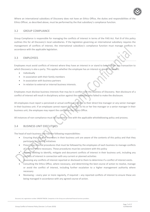

Where an international subsidiary of Discovery does not have an Ethics Office, the duties and responsibilities of the Ethics Officer, as described above, must be performed by the that subsidiary's compliance function.

#### <span id="page-6-0"></span>3.2 GROUP COMPLIANCE

Group Compliance is responsible for managing the conflicts of interest in terms of the FAIS Act. Part B of this policy outlines this for all Discovery's local subsidiaries. If the legislation governing an international subsidiary requires the management of conflicts of interest, the international subsidiary's compliance function must manage conflicts in accordance with the applicable legislation.

#### <span id="page-6-1"></span>3.3 EMPLOYEES

Employees must avoid conflicts of interest where they have an interest in or stand to benefit from any transaction to which Discovery is also a party. This applies whether the employee has an interest or stands to benefit:

- Individually
- In association with their family members
- In association with business partners
- In relation to external or internal business interests.

Employees must disclose business interests that may be in conflict with the business of Discovery. Non-disclosure of a conflict of interest will result in disciplinary action against the employee who failed to make the disclosure.

All employees must report a perceived or actual conflict of interest to their direct line manager or any senior manager in their business unit. If an employee cannot report the conflict to his or her line manager or a senior manager in their business unit, the employee may report the conflict to the Ethics Office.

<span id="page-6-2"></span>All instances of non-compliance must be reported in line with the applicable whistleblowing policy and process.

#### 3.4 BUSINESS UNIT EXECUTIVES

The head of each business unit has the following responsibilities:

- Ensuring that the staff members in their business unit are aware of the contents of this policy and that they participate in training initiatives
- Prescribing internal procedures that must be followed by the employees of each business to manage conflicts of interest where necessary. These procedures must be consistent with this policy
- Actively seeking to identify, mitigate and document conflicts of interest in their business unit, including any conflicts of interest in connection with any current or planned activities
- Assessing any conflicts of interest reported or disclosed to them to determine if a conflict of interest exists.
- Consulting the Ethics Office, where necessary, and determining the best course of action to resolve, manage or avoid the conflict of interest, including further escalation to a higher management authority where necessary
- <span id="page-6-3"></span> Reviewing – every year or more regularly, if required – any reported conflicts of interest to ensure these are being managed in accordance with any agreed course of action.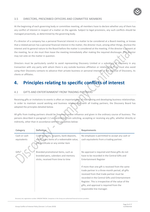#### 3.5 DIRECTORS, PRESCRIBED OFFICERS AND COMMITTEE MEMBERS

At the beginning of each governing body or committee meeting, all members have to declare whether any of them has any conflict of interest in respect of a matter on the agenda. Subject to legal provisions, any such conflicts should be managed proactively, as determined by the governing body.

If a director of a company has a personal financial interest in a matter to be considered at a Board meeting, or knows that a related person has a personal financial interest in the matter, the director must, among other things, disclose the interest and its general nature to the Board before the matter is considered at the meeting. If the director is present at the meeting, he or she must then leave the meeting immediately after making the required disclosures. The director may not vote on the matter in question.

Directors must be particularly careful to avoid representing Discovery Limited or a subsidiary of Discovery in any transaction with any party with whom there is any outside business affiliation or relationship. They must also avoid using their Discovery contacts to advance their private business or personal interests at the expense of Discovery, its clients or affiliates.

## <span id="page-7-0"></span>**4. Principles relating to specific conflicts of interest**

#### <span id="page-7-1"></span>4.1 GIFTS AND ENTERTAINMENT FROM TRADING PARTNERS

Receiving gifts or invitations to events is often an important part of maintaining and developing business relationships. In order to maintain sound working and business relationships with all trading partners, the Discovery Board has adopted the principles detailed below.

All gifts from trading partners should be free from undue influence and given in the ordinary course of business. The persons described in paragraph 2.2 are prohibited from soliciting, accepting or receiving any gifts, whether directly or indirectly, other than in accordance with the guidelines below:

| Definition.                               | <b>Requirements</b>                                |
|-------------------------------------------|----------------------------------------------------|
| Cash, cheques, coupons, bank deposits,    | No employee is permitted to accept any cash or     |
| stock, loans items of a redeemable value, | cash equivalents from a trading partner.           |
| gift certificate or any similar item      |                                                    |
| Branded promotional items, such as        | No approval is required and these gifts do not     |
| branded pens, calendars and memory        | have to be recorded in the Central Gifts and       |
| sticks, received from time to time        | Entertainment Register                             |
|                                           | If more than one gift is received from the same    |
|                                           | trade partner in a three-month period, all gifts   |
|                                           | received from that trade partner must be           |
|                                           | recorded in the Central Gifts and Entertainment    |
|                                           | Register. This is irrespective of the value of the |
|                                           | gifts, and approval is required from the           |
|                                           | responsible line manager.                          |
|                                           |                                                    |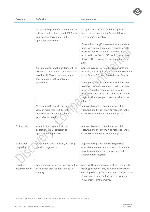| Category                    | <b>Definition</b>                                                                                                                        | Requirements                                                                                                                                                                                                                                                                                                                                                              |
|-----------------------------|------------------------------------------------------------------------------------------------------------------------------------------|---------------------------------------------------------------------------------------------------------------------------------------------------------------------------------------------------------------------------------------------------------------------------------------------------------------------------------------------------------------------------|
|                             | Non-branded promotional items with an<br>estimated value of less than R500 (or the<br>equivalent of this amount in the                   | No approval is required and these gifts do not<br>have to be recorded in the Central Gifts and<br>Entertainment Register.                                                                                                                                                                                                                                                 |
|                             | applicable jurisdiction)<br>Non-branded promotional items with an<br>estimated value of more than R500 but                               | If more than one gift is received from the same<br>trade partner in a three-month period, all gifts<br>received from that trade partner must be<br>recorded in the Central Gifts and Entertainment<br>Register. This is irrespective of the value of the<br>gifts.<br>Approval is required from the responsible line<br>manager, but the gifts do not have to be recorded |
|                             | less than R1 000 (or the equivalent of<br>these amounts in the applicable<br>jurisdiction)                                               | in the Central Gifts and Entertainment Register.<br>If more than one gift is received from the same<br>trade partner in a three-month period, all gifts<br>received from that trade partner must be<br>recorded in the Central Gifts and Entertainment<br>Register. This is irrespective of the value of the<br>gifts.                                                    |
|                             | Non-branded items with an estimated<br>value of more than R1 000 (or the<br>equivalent of this amount in the<br>applicable jurisdiction) | Approval is required from the responsible<br>executive and the gift must be recorded in the<br>Central Gifts and Entertainment Register.                                                                                                                                                                                                                                  |
| <b>Business gifts</b>       | Valuable items, offered without<br>obligation, as an expression of<br>appreciation or goodwill                                           | Approval is required from the responsible<br>executive and the gift must be recorded in the<br>Central Gifts and Entertainment Register.                                                                                                                                                                                                                                  |
| Events and<br>hospitality   | Invitation to a hosted event, including<br>travel arrangements                                                                           | Approval is required from the responsible<br>executive and the event and hospitality details<br>must be recorded in the Central Gifts and<br>Entertainment Register.                                                                                                                                                                                                      |
| Travel and<br>accommodation | Paid for or partly paid for trips by trading<br>partners for product updates and / or<br>training                                        | Any travel by an employee, at the invitation of a<br>trading partner will only be allowed if the travel<br>costs is paid for by Discovery, unless the invitation<br>is to a hosted event and part of the invitation<br>include travel arrangements.                                                                                                                       |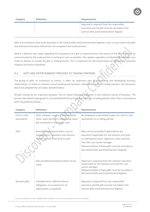| Category | <b>Definition</b> | <b>Requirements</b>                                                                                                                      |
|----------|-------------------|------------------------------------------------------------------------------------------------------------------------------------------|
|          |                   | Approval is required from the responsible<br>executive and the gift must be recorded in the<br>Central Gifts and Entertainment Register. |

Gifts and invitations have to be disclosed in the Central Gifts and Entertainment Register, even in cases where the gifts and entertainment were offered but not accepted from trade partners.

Where a decision was made regarding the acceptance of a gift or entertainment, the nature of the decision must be communicated to the trade partner in writing as soon as possible. This applies regardless of whether the decision was made to decline or accept the gift or entertainment. This is important for the preservation of Discovery's corporate integrity and ethical standards.

#### <span id="page-9-0"></span>4.2 GIFTS AND ENTERTAINMENT PROVIDED TO TRADING PARTNERS

The giving of gifts, or invitations to events, is often an important part of maintaining and developing business relationships. In order to maintain sound working and business relationships with all trading partners, the Discovery Board has adopted the principles detailed below.

All gifts should be for a genuine purpose, free of undue influence and given in the ordinary course of business. The persons described in paragraph 2.2 are prohibited from providing any gifts to a trading partner other than in accordance with the guidelines below:

| Category                    | <b>Definition</b>                                                                                                           | <b>Requirements</b>                                                                                                                                                                                                                                                            |
|-----------------------------|-----------------------------------------------------------------------------------------------------------------------------|--------------------------------------------------------------------------------------------------------------------------------------------------------------------------------------------------------------------------------------------------------------------------------|
| Cash or cash<br>equivalents | Cash, cheques, coupons, bank deposits,<br>stock, loans items of a redeemable value,<br>gift certificate or any similar item | No employee is permitted to give any cash or cash<br>equivalents to a trading partner.                                                                                                                                                                                         |
| Gifts                       | Branded promotional items, such as<br>branded pens, calendars and memory<br>sticks, received from time to time              | May only be provided if approved by the<br>executive responsible for the business unit prior<br>to ordering the items. Approval is also required<br>from the cost centre manager.<br>Relevant details of these gifts must be recorded in                                       |
|                             | Non-branded promotional items of any<br>value                                                                               | the Central Gifts and Entertainment Register.<br>Approval is required from the relevant executive<br>responsible for the business unit and the cost<br>centre manager.<br>Relevant details of these gifts must be recorded in<br>the Central Gifts and Entertainment Register. |
| <b>Business gifts</b>       | Valuable items, offered without<br>obligation, as an expression of<br>appreciation or goodwill                              | Approval is required from the responsible<br>executive and the gift must be recorded in the<br>Central Gifts and Entertainment Register.                                                                                                                                       |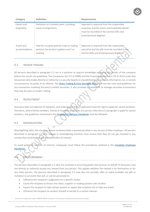

| Category      | <b>Definition</b>                            | <b>Requirements</b>                             |
|---------------|----------------------------------------------|-------------------------------------------------|
| Events and    | Invitation to a hosted event, including      | Approval is required from the responsible       |
| hospitality   | travel arrangements                          | executive and the event and hospitality details |
|               |                                              | must be recorded in the Central Gifts and       |
|               |                                              | Entertainment Register.                         |
|               |                                              |                                                 |
|               |                                              |                                                 |
| Travel and    | Paid for or partly paid for trips to trading | Approval is required from the responsible.      |
| accommodation | partners for product updates and / or        | executive and the gift must be recorded in the  |
|               | training                                     | Central Gifts and Entertainment Register.       |

#### <span id="page-10-0"></span>4.3 INSIDER TRADING

All persons described in paragraph 2.2 are in a position to acquire knowledge regarding the results of the company before the results are published. The Companies Act (71 of 2008) and the Financial Markets Act (19 of 2012) state that any person who trades directly or indirectly in a security based on unpublished price-sensitive information can, in certain circumstances, be guilty of an offence. The [Share Trading & Price Sensitive Policy](https://360.discovery.co.za/pol/pol_cmp/Share%20Trading%20and%20price%20sensitive%20information%20Policy%20V2.pdf) sets out the rules and guidelines for any transaction involving Discovery Limited securities. It also provides a framework to manage securities transactions that may be seen as insider trading.

#### <span id="page-10-1"></span>4.4 RECRUITMENT

Discovery does not approve of nepotism, and understands that all applicants have the right to apply for vacant positions. Therefore, where family members, friends or business associates of a person referred to in paragraph 2 apply for vacant positions, the guidelines contained in th[e Complete Employee Handbook](https://360.discovery.co.za/pol/pol_ppl/Complete%20Employee%20Policy%20Handbook%20-%20V3.3%20of%20August%202018.pdf) must be followed.

#### <span id="page-10-2"></span>4.5 MOONLIGHTING

Moonlighting refers the situation where someone holds a second job while in the service of their employer. All persons described in paragraph 2.2 who engage in moonlighting activities must ensure that they do not get involved in any activity that could lead to a potential conflict of interest.

To avoid potential conflicts of interest, employees must follow the procedures outlined in the [Complete Employee](https://360.discovery.co.za/pol/pol_ppl/Complete%20Employee%20Policy%20Handbook%20-%20V3.3%20of%20August%202018.pdf)  [Handbook.](https://360.discovery.co.za/pol/pol_ppl/Complete%20Employee%20Policy%20Handbook%20-%20V3.3%20of%20August%202018.pdf)

### <span id="page-10-3"></span>4.6 PROCUREMENT

The persons described in paragraph 2.2 who are involved in procuring goods and services on behalf of Discovery may not directly or indirectly accept any reward from any person. This applies whether the reward is for themselves or for any other person. The persons described in paragraph 2.2 may also not provide, offer or make available any gift or invitation to an event that will, or can be perceived to:

- Influence the recipient's judgement on a specific matter
- Cause the recipient to favour one client, supplier or trading partner over another
- Expect the recipient to take certain actions or expect the recipient not to take any action
- Influence the recipient to conduct himself or herself in a certain manner.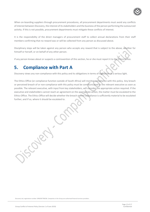

When on-boarding suppliers through procurement procedures, all procurement departments must avoid any conflicts of interest between Discovery, the interest of its stakeholders and the business of the person performing the outsourced activity. If this is not possible, procurement departments must mitigate these conflicts of interest.

It is the responsibility of the direct managers of procurement staff to collect annual declarations from their staff members confirming that no reward was or will be collected from any person as discussed above.

Disciplinary steps will be taken against any person who accepts any reward that is subject to the above, whether for himself or herself, or on behalf of any other person.

If any person knows about or suspects a contravention of this section, he or she must report it to the Ethics Office.

### <span id="page-11-0"></span>**5. Compliance with Part A**

Discovery views any non-compliance with this policy and its obligations in terms of legislation in a serious light.

The Ethics Office (or compliance function outside of South Africa) will monitor compliance with this policy. Any breach or perceived breach of or non-compliance with this policy must be communicated to the relevant executive as soon as possible. The relevant executive, with input from key stakeholders, will consider the appropriate action required. If the executive and stakeholders cannot reach an agreement on the appropriate action, the matter must be escalated to the Ethics Office. The Ethics Office will decide whether the breach or non-compliance is sufficiently material to be escalated further, and if so, where it should be escalated to.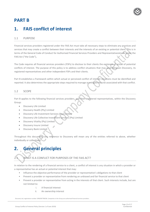

### **PART B**

### <span id="page-12-0"></span>**1. FAIS conflict of interest**

#### <span id="page-12-1"></span>1.1 PURPOSE

Financial services providers registered under the FAIS Act must take all necessary steps to eliminate any practices and services that may create a conflict between their interests and the interests of an existing or potential client. This is in terms of the General Code of Conduct for Authorised Financial Services Providers and Representatives made under the FAIS Act ("the Code"),

The Code requires all financial services providers (FSPs) to disclose to their clients the existence of actual of potential conflicts of interest. The purpose of this policy is to address conflict situations that may arise between Discovery, its registered representatives and other independent FSPs and their clients.

Part B establishes a framework within which actual or perceived conflict of interest situations must be identified and reported. It also determines the appropriate steps required to manage or mitigate the risk associated with that conflict.

#### <span id="page-12-2"></span>1.2 SCOPE

Part B applies to the following financial services providers, and their registered representatives, within the Discovery Group:

- Discovery Life Limited
- Discovery Health (Pty) Limited
- Discovery Life Investment Services (Pty) Limited
- Discovery Life Collective Investment Services (Pty) Limited
- Discovery Vitality (Pty) Limited
- Discovery Insure Limited
- Discovery Bank Limited.

Throughout this document, any reference to Discovery will mean any of the entities referred to above, whether individually or collectively.

## <span id="page-12-3"></span>**2. General principles**

### <span id="page-12-4"></span>2.1 WHAT IS A CONFLICT FOR PURPOSES OF THE FAIS ACT?

In relation to the rendering of a financial service to a client, a conflict of interest is any situation in which a provider or a representative has an actual or potential interest that may:

- Influence the objective performance of the provider or representative's obligations to that client
- Prevent a provider or representative from rendering an unbiased and fair financial service to that client
- Prevent a provider or representative from acting in the interests of that client. Such interests include, but are not limited to:
	- i. A financial interest
	- ii. An ownership interest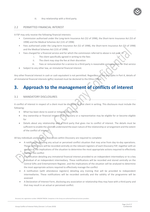

iii. Any relationship with a third party.

#### <span id="page-13-0"></span>2.2 PERMITTED FINANCIAL INTEREST

A FSP may only receive the following financial interests:

- Commission authorised under the Long-term Insurance Act (52 of 1998), the Short-term Insurance Act (53 of 1998) and the Medical Schemes Act (131 of 1998)
- Fees authorised under the Long-term Insurance Act (52 of 1998), the Short-term Insurance Act (53 of 1998) and the Medical Schemes Act (131 of 1998)
- Fees charged for a financial service and for which the commission referred to above is not paid, if
	- i. The client specifically agreed in writing to the fees
	- ii. The client may stop the fee at their discretion
	- iii. Fees or remuneration for a service to a third party is reasonable compensation for that service
- Subject to any other law, an immaterial financial interest.

Any other financial interest in cash or cash equivalent is not permitted. Regardless of the principles in Part A, details of all immaterial financial interests (gifts) received must be declared to the Ethics Office.

## <span id="page-13-1"></span>**3. Approach to the management of conflicts of interest**

#### <span id="page-13-2"></span>3.1 MANDATORY DISCLOSURES

A conflict of interest in respect of a client must be disclosed to that client in writing. This disclosure must include the following:

- What has been done to avoid or mitigate the conflict
- Any ownership or financial interest that Discovery or a representative may be eligible for or become eligible for
- Details about any relationship with a third party that gives rise to conflict of interest. The details must be sufficient to enable the client to understand the exact nature of the relationship or arrangement and the extent of the conflict of interest.

All key individuals and business executives within Discovery are required to complete:

- A notification detailing any actual or perceived conflict situation that may arise from day-to-day operations. These notifications will be recorded centrally on the relevant registers of each Discovery FSP, together with an analysis of the implications of the situation to determine the most appropriate actions required to effectively manage the conflict
- A notification detailing any immaterial financial interest provided to an independent intermediary or to a key individual of an independent intermediary. These notifications will be recorded and stored centrally on the Central Gifts and Entertainment Register, and the implications of the situation will be analysed to determine the most appropriate actions required to effectively manage the conflict
- A notification (with attendance registers) detailing any training that will be provided to independent intermediaries. These notifications will be recorded centrally and the validity of the programme will be assessed
- A Declaration of Interest Form, disclosing any association or relationship they may have with a third party and that may result in an actual or perceived conflict.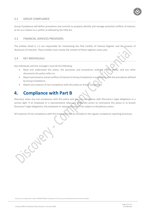#### <span id="page-14-0"></span>3.2 GROUP COMPLIANCE

Group Compliance will define procedures and controls to properly identify and manage potential conflicts of interest, as far as it relates to a conflict as defined by the FAIS Act.

#### <span id="page-14-1"></span>3.3 FINANCIAL SERVICES PROVIDERS

The entities listed in 1.2 are responsible for maintaining the FAIS Conflict of Interest Register and the process of disclosure of interests. These entities must review the content of these registers every year.

#### <span id="page-14-2"></span>3.4 KEY INDIVIDUALS

Key individuals and line managers must do the following:

- Read and understand this policy, the processes and procedures outlined in this policy, and any other documents the policy refers to
- Report perceived or actual conflicts of interest to Group Compliance in accordance with the procedures defined by Group Compliance
- Report any instance of non-compliance with this policy to Group Compliance.

### <span id="page-14-3"></span>**4. Compliance with Part B**

Discovery views any non-compliance with this policy and any non-compliance with Discovery's legal obligations in a serious light. If an employee or a representative takes any deliberate action to contravene this policy or to breach Discovery's legal obligations, the employee or representative will be subject to disciplinary action.

All instances of non-compliance with this framework will be included in the regular compliance reporting processes.

Cole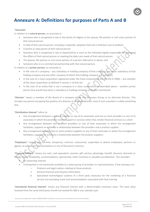

## <span id="page-15-0"></span>**Annexure A: Definitions for purposes of Parts A and B**

#### "**Associate**"

In relation to a **natural person**, an associate is:

- Someone who is recognised in law or the tenets of religion as the spouse, life partner or civil union partner of that natural person
- A child of that natural person, including a stepchild, adopted child and a child born out of wedlock
- A parent or step-parent of that natural person
- Someone who is recognised in law or appointed by a court as the individual legally responsible for managing the affairs of that natural person or meeting the daily care needs of that natural person
- The spouse, life partner or civil union partner of a person referred to in above, and
- Someone who is in a commercial partnership with that natural person.

In relation to a **juristic person**, an associate is:

- In the case of a company any subsidiary or holding company of that company, any other subsidiary of that holding company and any other company of which that holding company is a subsidiary
- In the case of a close corporation registered under the Close Corporations Act (No 69 of 1984) any member of the close corporation as defined in section 1 of that Act
- In the case of an entity that is not a company or a close corporation, as described above another juristic person that would have been a subsidiary or holding company of the first-mentioned.

"**Director**" means a member of the Board of a company within the Discovery Group or an alternate director. This includes any person occupying the position of a director or alternate director, even if such a position is called something else.

"**Distribution channel**" refers to:

- Any arrangement between a product supplier or any of its associates and one or more providers or any of its associates in which the providers receive support or services when they render financial services to a client
- Any arrangement between two or more providers or any of their associates in which the arrangement facilitates, supports or enhances a relationship between the providers and a product supplier;
- Any arrangement between two or more product suppliers or any of their associates in which the arrangement facilitates, supports or enhances a relationship between the product suppliers.

"**Employees**" include any full-time, temporary, contract, outsourced, suspended or absent employees, partners or agents, as well as any representatives on any of Discovery's licences.

"**Financial interest**" means any cash, cash equivalent, voucher, gift, service, advantage, benefit, discount, domestic or foreign travel, hospitality, accommodation, sponsorship, other incentive or valuable consideration. This excludes:

- An ownership interest
- Training that is not exclusively available to a select group of providers or representatives, if the training is on:
	- i. Products and legal matters relating to those products
	- ii. General financial and industry information
	- iii. Specialised technological systems of a third party necessary for the rendering of a financial service; but excluding travel and accommodation associated with that training.

"**Immaterial financial interest**" means any financial interest with a determinable monetary value. The total value received from the same third party should not exceed R1 000 in any calendar year.